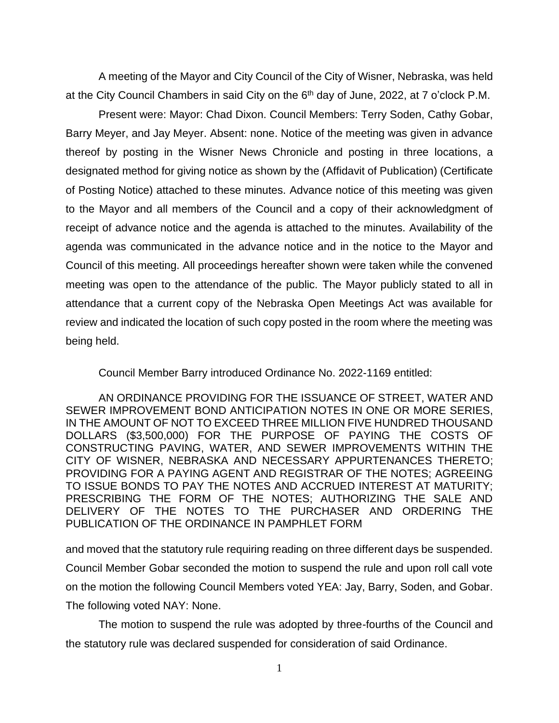A meeting of the Mayor and City Council of the City of Wisner, Nebraska, was held at the City Council Chambers in said City on the 6<sup>th</sup> day of June, 2022, at 7 o'clock P.M.

Present were: Mayor: Chad Dixon. Council Members: Terry Soden, Cathy Gobar, Barry Meyer, and Jay Meyer. Absent: none. Notice of the meeting was given in advance thereof by posting in the Wisner News Chronicle and posting in three locations, a designated method for giving notice as shown by the (Affidavit of Publication) (Certificate of Posting Notice) attached to these minutes. Advance notice of this meeting was given to the Mayor and all members of the Council and a copy of their acknowledgment of receipt of advance notice and the agenda is attached to the minutes. Availability of the agenda was communicated in the advance notice and in the notice to the Mayor and Council of this meeting. All proceedings hereafter shown were taken while the convened meeting was open to the attendance of the public. The Mayor publicly stated to all in attendance that a current copy of the Nebraska Open Meetings Act was available for review and indicated the location of such copy posted in the room where the meeting was being held.

Council Member Barry introduced Ordinance No. 2022-1169 entitled:

AN ORDINANCE PROVIDING FOR THE ISSUANCE OF STREET, WATER AND SEWER IMPROVEMENT BOND ANTICIPATION NOTES IN ONE OR MORE SERIES, IN THE AMOUNT OF NOT TO EXCEED THREE MILLION FIVE HUNDRED THOUSAND DOLLARS (\$3,500,000) FOR THE PURPOSE OF PAYING THE COSTS OF CONSTRUCTING PAVING, WATER, AND SEWER IMPROVEMENTS WITHIN THE CITY OF WISNER, NEBRASKA AND NECESSARY APPURTENANCES THERETO; PROVIDING FOR A PAYING AGENT AND REGISTRAR OF THE NOTES; AGREEING TO ISSUE BONDS TO PAY THE NOTES AND ACCRUED INTEREST AT MATURITY; PRESCRIBING THE FORM OF THE NOTES; AUTHORIZING THE SALE AND DELIVERY OF THE NOTES TO THE PURCHASER AND ORDERING THE PUBLICATION OF THE ORDINANCE IN PAMPHLET FORM

and moved that the statutory rule requiring reading on three different days be suspended. Council Member Gobar seconded the motion to suspend the rule and upon roll call vote on the motion the following Council Members voted YEA: Jay, Barry, Soden, and Gobar. The following voted NAY: None.

The motion to suspend the rule was adopted by three-fourths of the Council and the statutory rule was declared suspended for consideration of said Ordinance.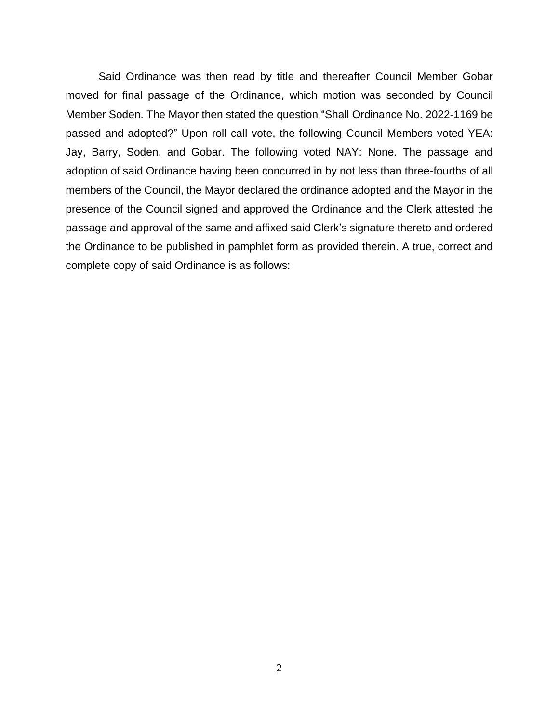Said Ordinance was then read by title and thereafter Council Member Gobar moved for final passage of the Ordinance, which motion was seconded by Council Member Soden. The Mayor then stated the question "Shall Ordinance No. 2022-1169 be passed and adopted?" Upon roll call vote, the following Council Members voted YEA: Jay, Barry, Soden, and Gobar. The following voted NAY: None. The passage and adoption of said Ordinance having been concurred in by not less than three-fourths of all members of the Council, the Mayor declared the ordinance adopted and the Mayor in the presence of the Council signed and approved the Ordinance and the Clerk attested the passage and approval of the same and affixed said Clerk's signature thereto and ordered the Ordinance to be published in pamphlet form as provided therein. A true, correct and complete copy of said Ordinance is as follows: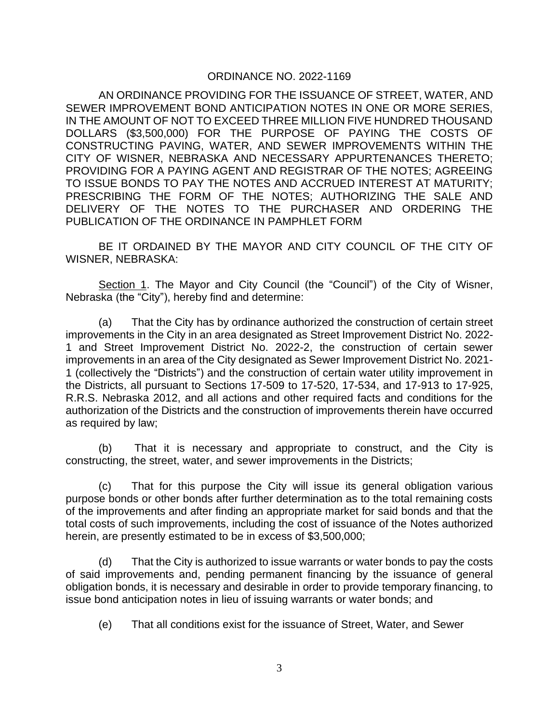# ORDINANCE NO. 2022-1169

AN ORDINANCE PROVIDING FOR THE ISSUANCE OF STREET, WATER, AND SEWER IMPROVEMENT BOND ANTICIPATION NOTES IN ONE OR MORE SERIES, IN THE AMOUNT OF NOT TO EXCEED THREE MILLION FIVE HUNDRED THOUSAND DOLLARS (\$3,500,000) FOR THE PURPOSE OF PAYING THE COSTS OF CONSTRUCTING PAVING, WATER, AND SEWER IMPROVEMENTS WITHIN THE CITY OF WISNER, NEBRASKA AND NECESSARY APPURTENANCES THERETO; PROVIDING FOR A PAYING AGENT AND REGISTRAR OF THE NOTES; AGREEING TO ISSUE BONDS TO PAY THE NOTES AND ACCRUED INTEREST AT MATURITY; PRESCRIBING THE FORM OF THE NOTES; AUTHORIZING THE SALE AND DELIVERY OF THE NOTES TO THE PURCHASER AND ORDERING THE PUBLICATION OF THE ORDINANCE IN PAMPHLET FORM

BE IT ORDAINED BY THE MAYOR AND CITY COUNCIL OF THE CITY OF WISNER, NEBRASKA:

Section 1. The Mayor and City Council (the "Council") of the City of Wisner, Nebraska (the "City"), hereby find and determine:

(a) That the City has by ordinance authorized the construction of certain street improvements in the City in an area designated as Street Improvement District No. 2022- 1 and Street Improvement District No. 2022-2, the construction of certain sewer improvements in an area of the City designated as Sewer Improvement District No. 2021- 1 (collectively the "Districts") and the construction of certain water utility improvement in the Districts, all pursuant to Sections 17-509 to 17-520, 17-534, and 17-913 to 17-925, R.R.S. Nebraska 2012, and all actions and other required facts and conditions for the authorization of the Districts and the construction of improvements therein have occurred as required by law;

(b) That it is necessary and appropriate to construct, and the City is constructing, the street, water, and sewer improvements in the Districts;

(c) That for this purpose the City will issue its general obligation various purpose bonds or other bonds after further determination as to the total remaining costs of the improvements and after finding an appropriate market for said bonds and that the total costs of such improvements, including the cost of issuance of the Notes authorized herein, are presently estimated to be in excess of \$3,500,000;

(d) That the City is authorized to issue warrants or water bonds to pay the costs of said improvements and, pending permanent financing by the issuance of general obligation bonds, it is necessary and desirable in order to provide temporary financing, to issue bond anticipation notes in lieu of issuing warrants or water bonds; and

(e) That all conditions exist for the issuance of Street, Water, and Sewer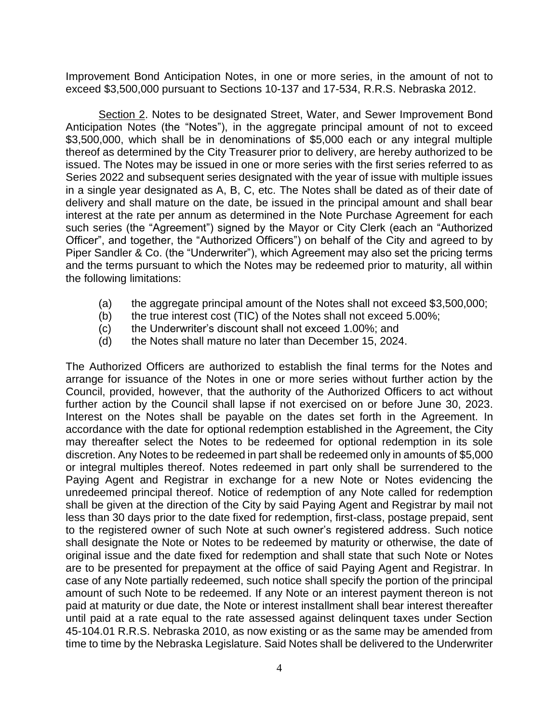Improvement Bond Anticipation Notes, in one or more series, in the amount of not to exceed \$3,500,000 pursuant to Sections 10-137 and 17-534, R.R.S. Nebraska 2012.

Section 2. Notes to be designated Street, Water, and Sewer Improvement Bond Anticipation Notes (the "Notes"), in the aggregate principal amount of not to exceed \$3,500,000, which shall be in denominations of \$5,000 each or any integral multiple thereof as determined by the City Treasurer prior to delivery, are hereby authorized to be issued. The Notes may be issued in one or more series with the first series referred to as Series 2022 and subsequent series designated with the year of issue with multiple issues in a single year designated as A, B, C, etc. The Notes shall be dated as of their date of delivery and shall mature on the date, be issued in the principal amount and shall bear interest at the rate per annum as determined in the Note Purchase Agreement for each such series (the "Agreement") signed by the Mayor or City Clerk (each an "Authorized Officer", and together, the "Authorized Officers") on behalf of the City and agreed to by Piper Sandler & Co. (the "Underwriter"), which Agreement may also set the pricing terms and the terms pursuant to which the Notes may be redeemed prior to maturity, all within the following limitations:

- (a) the aggregate principal amount of the Notes shall not exceed \$3,500,000;
- (b) the true interest cost (TIC) of the Notes shall not exceed 5.00%;
- (c) the Underwriter's discount shall not exceed 1.00%; and
- (d) the Notes shall mature no later than December 15, 2024.

The Authorized Officers are authorized to establish the final terms for the Notes and arrange for issuance of the Notes in one or more series without further action by the Council, provided, however, that the authority of the Authorized Officers to act without further action by the Council shall lapse if not exercised on or before June 30, 2023. Interest on the Notes shall be payable on the dates set forth in the Agreement. In accordance with the date for optional redemption established in the Agreement, the City may thereafter select the Notes to be redeemed for optional redemption in its sole discretion. Any Notes to be redeemed in part shall be redeemed only in amounts of \$5,000 or integral multiples thereof. Notes redeemed in part only shall be surrendered to the Paying Agent and Registrar in exchange for a new Note or Notes evidencing the unredeemed principal thereof. Notice of redemption of any Note called for redemption shall be given at the direction of the City by said Paying Agent and Registrar by mail not less than 30 days prior to the date fixed for redemption, first-class, postage prepaid, sent to the registered owner of such Note at such owner's registered address. Such notice shall designate the Note or Notes to be redeemed by maturity or otherwise, the date of original issue and the date fixed for redemption and shall state that such Note or Notes are to be presented for prepayment at the office of said Paying Agent and Registrar. In case of any Note partially redeemed, such notice shall specify the portion of the principal amount of such Note to be redeemed. If any Note or an interest payment thereon is not paid at maturity or due date, the Note or interest installment shall bear interest thereafter until paid at a rate equal to the rate assessed against delinquent taxes under Section 45-104.01 R.R.S. Nebraska 2010, as now existing or as the same may be amended from time to time by the Nebraska Legislature. Said Notes shall be delivered to the Underwriter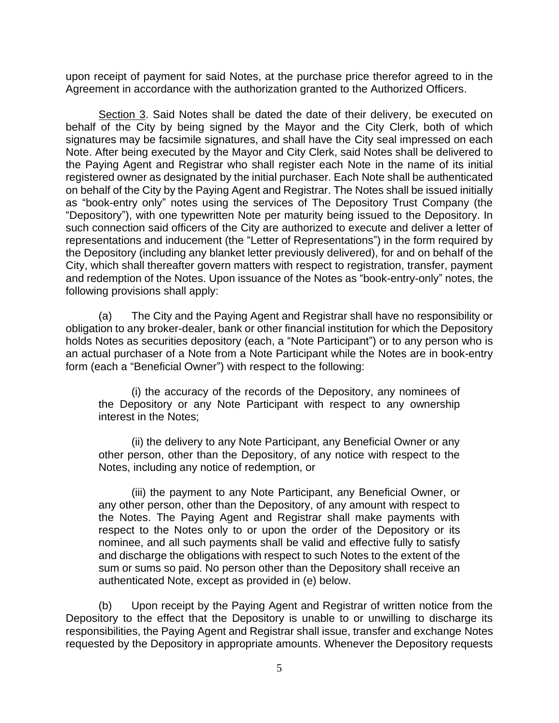upon receipt of payment for said Notes, at the purchase price therefor agreed to in the Agreement in accordance with the authorization granted to the Authorized Officers.

Section 3. Said Notes shall be dated the date of their delivery, be executed on behalf of the City by being signed by the Mayor and the City Clerk, both of which signatures may be facsimile signatures, and shall have the City seal impressed on each Note. After being executed by the Mayor and City Clerk, said Notes shall be delivered to the Paying Agent and Registrar who shall register each Note in the name of its initial registered owner as designated by the initial purchaser. Each Note shall be authenticated on behalf of the City by the Paying Agent and Registrar. The Notes shall be issued initially as "book-entry only" notes using the services of The Depository Trust Company (the "Depository"), with one typewritten Note per maturity being issued to the Depository. In such connection said officers of the City are authorized to execute and deliver a letter of representations and inducement (the "Letter of Representations") in the form required by the Depository (including any blanket letter previously delivered), for and on behalf of the City, which shall thereafter govern matters with respect to registration, transfer, payment and redemption of the Notes. Upon issuance of the Notes as "book-entry-only" notes, the following provisions shall apply:

(a) The City and the Paying Agent and Registrar shall have no responsibility or obligation to any broker-dealer, bank or other financial institution for which the Depository holds Notes as securities depository (each, a "Note Participant") or to any person who is an actual purchaser of a Note from a Note Participant while the Notes are in book-entry form (each a "Beneficial Owner") with respect to the following:

(i) the accuracy of the records of the Depository, any nominees of the Depository or any Note Participant with respect to any ownership interest in the Notes;

(ii) the delivery to any Note Participant, any Beneficial Owner or any other person, other than the Depository, of any notice with respect to the Notes, including any notice of redemption, or

(iii) the payment to any Note Participant, any Beneficial Owner, or any other person, other than the Depository, of any amount with respect to the Notes. The Paying Agent and Registrar shall make payments with respect to the Notes only to or upon the order of the Depository or its nominee, and all such payments shall be valid and effective fully to satisfy and discharge the obligations with respect to such Notes to the extent of the sum or sums so paid. No person other than the Depository shall receive an authenticated Note, except as provided in (e) below.

(b) Upon receipt by the Paying Agent and Registrar of written notice from the Depository to the effect that the Depository is unable to or unwilling to discharge its responsibilities, the Paying Agent and Registrar shall issue, transfer and exchange Notes requested by the Depository in appropriate amounts. Whenever the Depository requests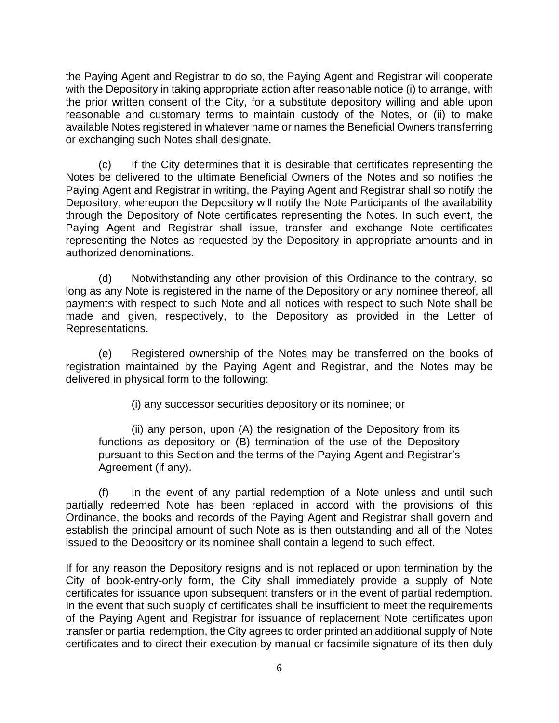the Paying Agent and Registrar to do so, the Paying Agent and Registrar will cooperate with the Depository in taking appropriate action after reasonable notice (i) to arrange, with the prior written consent of the City, for a substitute depository willing and able upon reasonable and customary terms to maintain custody of the Notes, or (ii) to make available Notes registered in whatever name or names the Beneficial Owners transferring or exchanging such Notes shall designate.

(c) If the City determines that it is desirable that certificates representing the Notes be delivered to the ultimate Beneficial Owners of the Notes and so notifies the Paying Agent and Registrar in writing, the Paying Agent and Registrar shall so notify the Depository, whereupon the Depository will notify the Note Participants of the availability through the Depository of Note certificates representing the Notes. In such event, the Paying Agent and Registrar shall issue, transfer and exchange Note certificates representing the Notes as requested by the Depository in appropriate amounts and in authorized denominations.

(d) Notwithstanding any other provision of this Ordinance to the contrary, so long as any Note is registered in the name of the Depository or any nominee thereof, all payments with respect to such Note and all notices with respect to such Note shall be made and given, respectively, to the Depository as provided in the Letter of Representations.

(e) Registered ownership of the Notes may be transferred on the books of registration maintained by the Paying Agent and Registrar, and the Notes may be delivered in physical form to the following:

(i) any successor securities depository or its nominee; or

(ii) any person, upon (A) the resignation of the Depository from its functions as depository or (B) termination of the use of the Depository pursuant to this Section and the terms of the Paying Agent and Registrar's Agreement (if any).

(f) In the event of any partial redemption of a Note unless and until such partially redeemed Note has been replaced in accord with the provisions of this Ordinance, the books and records of the Paying Agent and Registrar shall govern and establish the principal amount of such Note as is then outstanding and all of the Notes issued to the Depository or its nominee shall contain a legend to such effect.

If for any reason the Depository resigns and is not replaced or upon termination by the City of book-entry-only form, the City shall immediately provide a supply of Note certificates for issuance upon subsequent transfers or in the event of partial redemption. In the event that such supply of certificates shall be insufficient to meet the requirements of the Paying Agent and Registrar for issuance of replacement Note certificates upon transfer or partial redemption, the City agrees to order printed an additional supply of Note certificates and to direct their execution by manual or facsimile signature of its then duly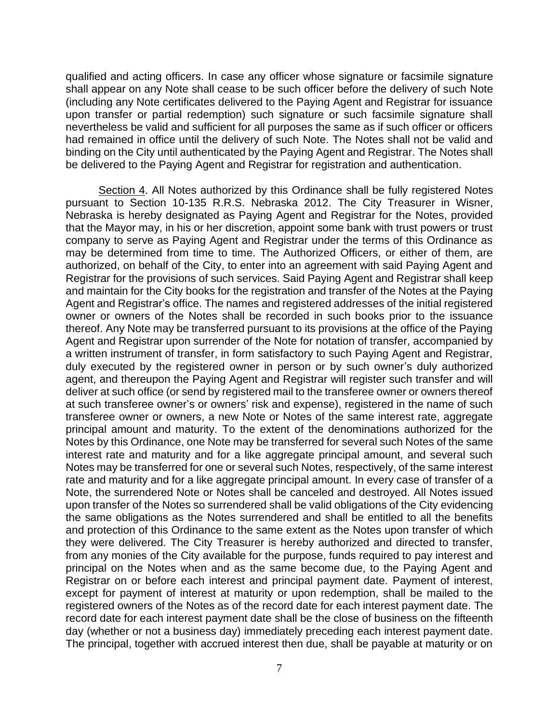qualified and acting officers. In case any officer whose signature or facsimile signature shall appear on any Note shall cease to be such officer before the delivery of such Note (including any Note certificates delivered to the Paying Agent and Registrar for issuance upon transfer or partial redemption) such signature or such facsimile signature shall nevertheless be valid and sufficient for all purposes the same as if such officer or officers had remained in office until the delivery of such Note. The Notes shall not be valid and binding on the City until authenticated by the Paying Agent and Registrar. The Notes shall be delivered to the Paying Agent and Registrar for registration and authentication.

Section 4. All Notes authorized by this Ordinance shall be fully registered Notes pursuant to Section 10-135 R.R.S. Nebraska 2012. The City Treasurer in Wisner, Nebraska is hereby designated as Paying Agent and Registrar for the Notes, provided that the Mayor may, in his or her discretion, appoint some bank with trust powers or trust company to serve as Paying Agent and Registrar under the terms of this Ordinance as may be determined from time to time. The Authorized Officers, or either of them, are authorized, on behalf of the City, to enter into an agreement with said Paying Agent and Registrar for the provisions of such services. Said Paying Agent and Registrar shall keep and maintain for the City books for the registration and transfer of the Notes at the Paying Agent and Registrar's office. The names and registered addresses of the initial registered owner or owners of the Notes shall be recorded in such books prior to the issuance thereof. Any Note may be transferred pursuant to its provisions at the office of the Paying Agent and Registrar upon surrender of the Note for notation of transfer, accompanied by a written instrument of transfer, in form satisfactory to such Paying Agent and Registrar, duly executed by the registered owner in person or by such owner's duly authorized agent, and thereupon the Paying Agent and Registrar will register such transfer and will deliver at such office (or send by registered mail to the transferee owner or owners thereof at such transferee owner's or owners' risk and expense), registered in the name of such transferee owner or owners, a new Note or Notes of the same interest rate, aggregate principal amount and maturity. To the extent of the denominations authorized for the Notes by this Ordinance, one Note may be transferred for several such Notes of the same interest rate and maturity and for a like aggregate principal amount, and several such Notes may be transferred for one or several such Notes, respectively, of the same interest rate and maturity and for a like aggregate principal amount. In every case of transfer of a Note, the surrendered Note or Notes shall be canceled and destroyed. All Notes issued upon transfer of the Notes so surrendered shall be valid obligations of the City evidencing the same obligations as the Notes surrendered and shall be entitled to all the benefits and protection of this Ordinance to the same extent as the Notes upon transfer of which they were delivered. The City Treasurer is hereby authorized and directed to transfer, from any monies of the City available for the purpose, funds required to pay interest and principal on the Notes when and as the same become due, to the Paying Agent and Registrar on or before each interest and principal payment date. Payment of interest, except for payment of interest at maturity or upon redemption, shall be mailed to the registered owners of the Notes as of the record date for each interest payment date. The record date for each interest payment date shall be the close of business on the fifteenth day (whether or not a business day) immediately preceding each interest payment date. The principal, together with accrued interest then due, shall be payable at maturity or on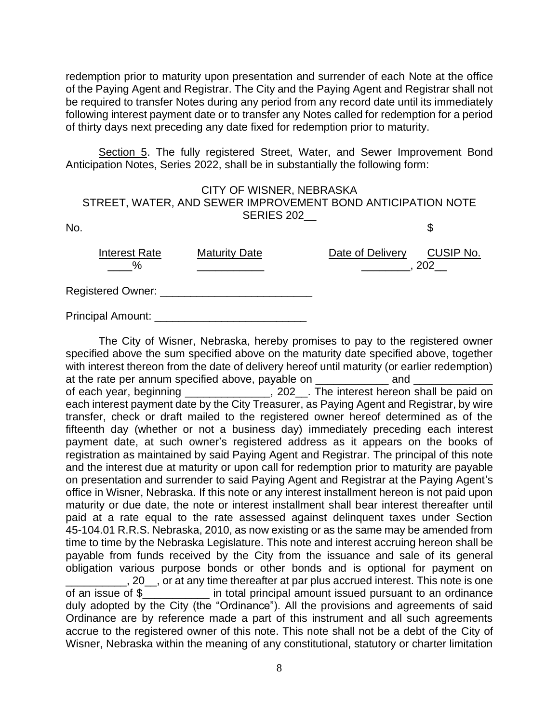redemption prior to maturity upon presentation and surrender of each Note at the office of the Paying Agent and Registrar. The City and the Paying Agent and Registrar shall not be required to transfer Notes during any period from any record date until its immediately following interest payment date or to transfer any Notes called for redemption for a period of thirty days next preceding any date fixed for redemption prior to maturity.

Section 5. The fully registered Street, Water, and Sewer Improvement Bond Anticipation Notes, Series 2022, shall be in substantially the following form:

|     | CITY OF WISNER, NEBRASKA<br>STREET, WATER, AND SEWER IMPROVEMENT BOND ANTICIPATION NOTE<br>SERIES 202 |                      |                  |                  |
|-----|-------------------------------------------------------------------------------------------------------|----------------------|------------------|------------------|
|     |                                                                                                       |                      |                  |                  |
| No. |                                                                                                       |                      |                  | \$               |
|     | <b>Interest Rate</b><br>$\%$                                                                          | <b>Maturity Date</b> | Date of Delivery | CUSIP No.<br>202 |
|     | Registered Owner: _____                                                                               |                      |                  |                  |

Principal Amount: \_\_\_\_\_\_\_\_\_\_\_\_\_\_

The City of Wisner, Nebraska, hereby promises to pay to the registered owner specified above the sum specified above on the maturity date specified above, together with interest thereon from the date of delivery hereof until maturity (or earlier redemption) at the rate per annum specified above, payable on **and** and of each year, beginning \_\_\_\_\_\_\_\_\_\_\_\_\_\_, 202\_\_. The interest hereon shall be paid on each interest payment date by the City Treasurer, as Paying Agent and Registrar, by wire transfer, check or draft mailed to the registered owner hereof determined as of the fifteenth day (whether or not a business day) immediately preceding each interest payment date, at such owner's registered address as it appears on the books of registration as maintained by said Paying Agent and Registrar. The principal of this note and the interest due at maturity or upon call for redemption prior to maturity are payable on presentation and surrender to said Paying Agent and Registrar at the Paying Agent's office in Wisner, Nebraska. If this note or any interest installment hereon is not paid upon maturity or due date, the note or interest installment shall bear interest thereafter until paid at a rate equal to the rate assessed against delinquent taxes under Section 45-104.01 R.R.S. Nebraska, 2010, as now existing or as the same may be amended from time to time by the Nebraska Legislature. This note and interest accruing hereon shall be payable from funds received by the City from the issuance and sale of its general obligation various purpose bonds or other bonds and is optional for payment on \_\_\_\_\_\_\_\_\_\_, 20\_\_, or at any time thereafter at par plus accrued interest. This note is one of an issue of \$\_\_\_\_\_\_\_\_\_\_\_ in total principal amount issued pursuant to an ordinance duly adopted by the City (the "Ordinance"). All the provisions and agreements of said Ordinance are by reference made a part of this instrument and all such agreements accrue to the registered owner of this note. This note shall not be a debt of the City of Wisner, Nebraska within the meaning of any constitutional, statutory or charter limitation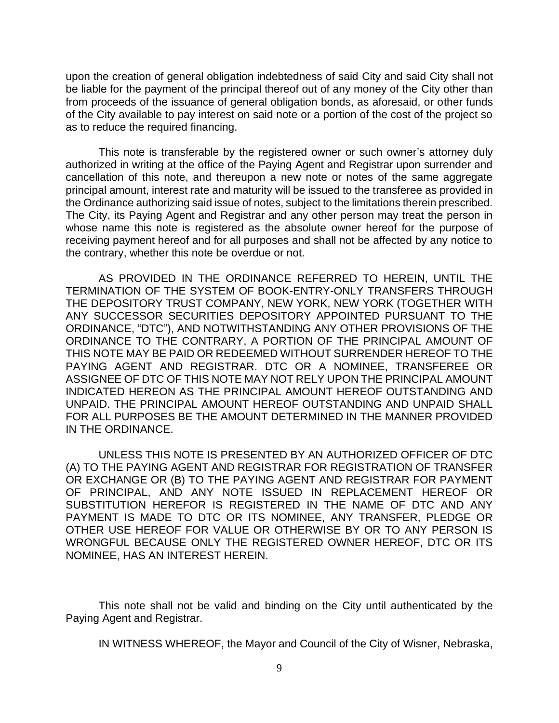upon the creation of general obligation indebtedness of said City and said City shall not be liable for the payment of the principal thereof out of any money of the City other than from proceeds of the issuance of general obligation bonds, as aforesaid, or other funds of the City available to pay interest on said note or a portion of the cost of the project so as to reduce the required financing.

This note is transferable by the registered owner or such owner's attorney duly authorized in writing at the office of the Paying Agent and Registrar upon surrender and cancellation of this note, and thereupon a new note or notes of the same aggregate principal amount, interest rate and maturity will be issued to the transferee as provided in the Ordinance authorizing said issue of notes, subject to the limitations therein prescribed. The City, its Paying Agent and Registrar and any other person may treat the person in whose name this note is registered as the absolute owner hereof for the purpose of receiving payment hereof and for all purposes and shall not be affected by any notice to the contrary, whether this note be overdue or not.

AS PROVIDED IN THE ORDINANCE REFERRED TO HEREIN, UNTIL THE TERMINATION OF THE SYSTEM OF BOOK-ENTRY-ONLY TRANSFERS THROUGH THE DEPOSITORY TRUST COMPANY, NEW YORK, NEW YORK (TOGETHER WITH ANY SUCCESSOR SECURITIES DEPOSITORY APPOINTED PURSUANT TO THE ORDINANCE, "DTC"), AND NOTWITHSTANDING ANY OTHER PROVISIONS OF THE ORDINANCE TO THE CONTRARY, A PORTION OF THE PRINCIPAL AMOUNT OF THIS NOTE MAY BE PAID OR REDEEMED WITHOUT SURRENDER HEREOF TO THE PAYING AGENT AND REGISTRAR. DTC OR A NOMINEE, TRANSFEREE OR ASSIGNEE OF DTC OF THIS NOTE MAY NOT RELY UPON THE PRINCIPAL AMOUNT INDICATED HEREON AS THE PRINCIPAL AMOUNT HEREOF OUTSTANDING AND UNPAID. THE PRINCIPAL AMOUNT HEREOF OUTSTANDING AND UNPAID SHALL FOR ALL PURPOSES BE THE AMOUNT DETERMINED IN THE MANNER PROVIDED IN THE ORDINANCE.

UNLESS THIS NOTE IS PRESENTED BY AN AUTHORIZED OFFICER OF DTC (A) TO THE PAYING AGENT AND REGISTRAR FOR REGISTRATION OF TRANSFER OR EXCHANGE OR (B) TO THE PAYING AGENT AND REGISTRAR FOR PAYMENT OF PRINCIPAL, AND ANY NOTE ISSUED IN REPLACEMENT HEREOF OR SUBSTITUTION HEREFOR IS REGISTERED IN THE NAME OF DTC AND ANY PAYMENT IS MADE TO DTC OR ITS NOMINEE, ANY TRANSFER, PLEDGE OR OTHER USE HEREOF FOR VALUE OR OTHERWISE BY OR TO ANY PERSON IS WRONGFUL BECAUSE ONLY THE REGISTERED OWNER HEREOF, DTC OR ITS NOMINEE, HAS AN INTEREST HEREIN.

This note shall not be valid and binding on the City until authenticated by the Paying Agent and Registrar.

IN WITNESS WHEREOF, the Mayor and Council of the City of Wisner, Nebraska,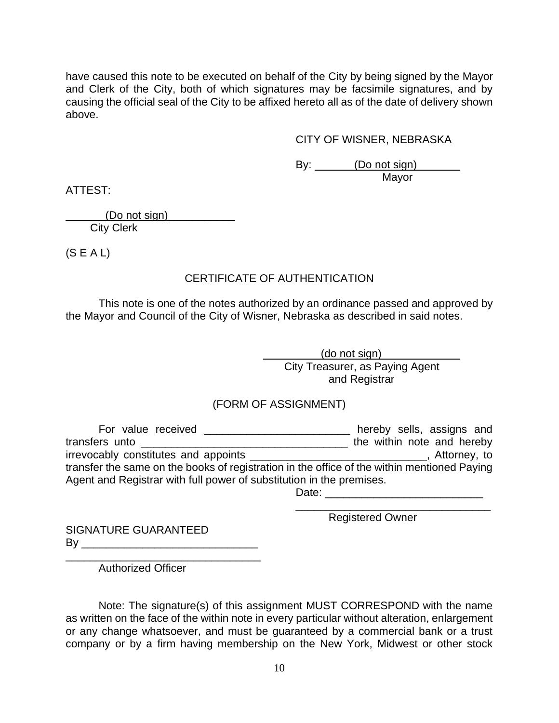have caused this note to be executed on behalf of the City by being signed by the Mayor and Clerk of the City, both of which signatures may be facsimile signatures, and by causing the official seal of the City to be affixed hereto all as of the date of delivery shown above.

CITY OF WISNER, NEBRASKA

By: (Do not sign) Mayor

ATTEST:

 $($ Do not sign $)$ City Clerk

 $(S E A L)$ 

# CERTIFICATE OF AUTHENTICATION

This note is one of the notes authorized by an ordinance passed and approved by the Mayor and Council of the City of Wisner, Nebraska as described in said notes.

> (do not sign) City Treasurer, as Paying Agent and Registrar

# (FORM OF ASSIGNMENT)

For value received \_\_\_\_\_\_\_\_\_\_\_\_\_\_\_\_\_\_\_\_\_\_\_\_ hereby sells, assigns and transfers unto **example 20** the within note and hereby irrevocably constitutes and appoints \_\_\_\_\_\_\_\_\_\_\_\_\_\_\_\_\_\_\_\_\_\_\_\_\_\_\_\_\_, Attorney, to transfer the same on the books of registration in the office of the within mentioned Paying Agent and Registrar with full power of substitution in the premises. Date: \_\_\_\_\_\_\_\_\_\_\_\_\_\_\_\_\_\_\_\_\_\_\_\_\_\_

SIGNATURE GUARANTEED  $\mathsf{By} \_\_\_\_\_\_\_\$  Registered Owner

\_\_\_\_\_\_\_\_\_\_\_\_\_\_\_\_\_\_\_\_\_\_\_\_\_\_\_\_\_\_\_\_

\_\_\_\_\_\_\_\_\_\_\_\_\_\_\_\_\_\_\_\_\_\_\_\_\_\_\_\_\_\_\_\_ Authorized Officer

Note: The signature(s) of this assignment MUST CORRESPOND with the name as written on the face of the within note in every particular without alteration, enlargement or any change whatsoever, and must be guaranteed by a commercial bank or a trust company or by a firm having membership on the New York, Midwest or other stock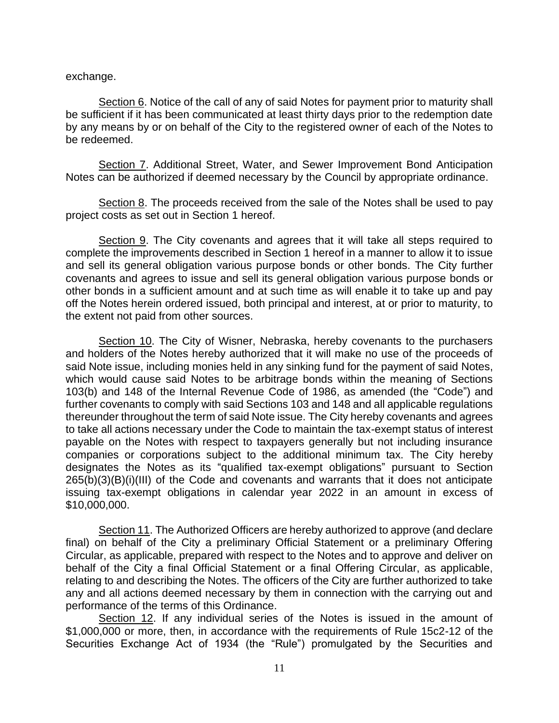exchange.

Section 6. Notice of the call of any of said Notes for payment prior to maturity shall be sufficient if it has been communicated at least thirty days prior to the redemption date by any means by or on behalf of the City to the registered owner of each of the Notes to be redeemed.

Section 7. Additional Street, Water, and Sewer Improvement Bond Anticipation Notes can be authorized if deemed necessary by the Council by appropriate ordinance.

Section 8. The proceeds received from the sale of the Notes shall be used to pay project costs as set out in Section 1 hereof.

Section 9. The City covenants and agrees that it will take all steps required to complete the improvements described in Section 1 hereof in a manner to allow it to issue and sell its general obligation various purpose bonds or other bonds. The City further covenants and agrees to issue and sell its general obligation various purpose bonds or other bonds in a sufficient amount and at such time as will enable it to take up and pay off the Notes herein ordered issued, both principal and interest, at or prior to maturity, to the extent not paid from other sources.

Section 10. The City of Wisner, Nebraska, hereby covenants to the purchasers and holders of the Notes hereby authorized that it will make no use of the proceeds of said Note issue, including monies held in any sinking fund for the payment of said Notes, which would cause said Notes to be arbitrage bonds within the meaning of Sections 103(b) and 148 of the Internal Revenue Code of 1986, as amended (the "Code") and further covenants to comply with said Sections 103 and 148 and all applicable regulations thereunder throughout the term of said Note issue. The City hereby covenants and agrees to take all actions necessary under the Code to maintain the tax-exempt status of interest payable on the Notes with respect to taxpayers generally but not including insurance companies or corporations subject to the additional minimum tax. The City hereby designates the Notes as its "qualified tax-exempt obligations" pursuant to Section 265(b)(3)(B)(i)(III) of the Code and covenants and warrants that it does not anticipate issuing tax-exempt obligations in calendar year 2022 in an amount in excess of \$10,000,000.

Section 11. The Authorized Officers are hereby authorized to approve (and declare final) on behalf of the City a preliminary Official Statement or a preliminary Offering Circular, as applicable, prepared with respect to the Notes and to approve and deliver on behalf of the City a final Official Statement or a final Offering Circular, as applicable, relating to and describing the Notes. The officers of the City are further authorized to take any and all actions deemed necessary by them in connection with the carrying out and performance of the terms of this Ordinance.

Section 12. If any individual series of the Notes is issued in the amount of \$1,000,000 or more, then, in accordance with the requirements of Rule 15c2-12 of the Securities Exchange Act of 1934 (the "Rule") promulgated by the Securities and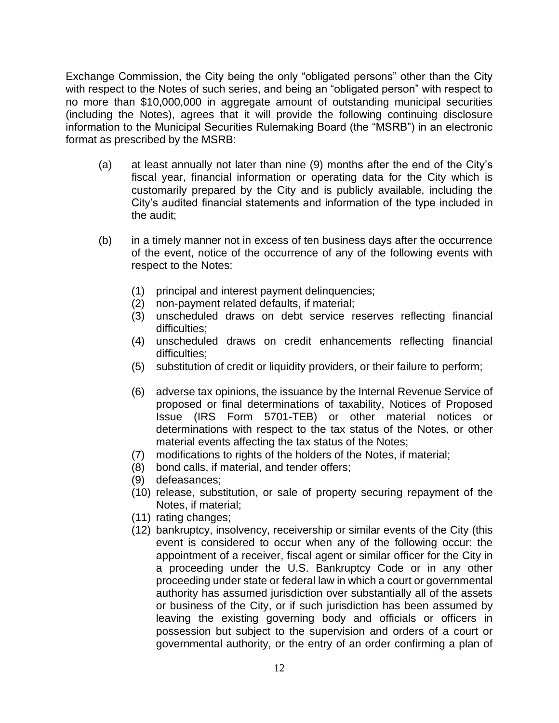Exchange Commission, the City being the only "obligated persons" other than the City with respect to the Notes of such series, and being an "obligated person" with respect to no more than \$10,000,000 in aggregate amount of outstanding municipal securities (including the Notes), agrees that it will provide the following continuing disclosure information to the Municipal Securities Rulemaking Board (the "MSRB") in an electronic format as prescribed by the MSRB:

- (a) at least annually not later than nine (9) months after the end of the City's fiscal year, financial information or operating data for the City which is customarily prepared by the City and is publicly available, including the City's audited financial statements and information of the type included in the audit;
- (b) in a timely manner not in excess of ten business days after the occurrence of the event, notice of the occurrence of any of the following events with respect to the Notes:
	- (1) principal and interest payment delinquencies;
	- (2) non-payment related defaults, if material;
	- (3) unscheduled draws on debt service reserves reflecting financial difficulties;
	- (4) unscheduled draws on credit enhancements reflecting financial difficulties;
	- (5) substitution of credit or liquidity providers, or their failure to perform;
	- (6) adverse tax opinions, the issuance by the Internal Revenue Service of proposed or final determinations of taxability, Notices of Proposed Issue (IRS Form 5701-TEB) or other material notices or determinations with respect to the tax status of the Notes, or other material events affecting the tax status of the Notes;
	- (7) modifications to rights of the holders of the Notes, if material;
	- (8) bond calls, if material, and tender offers;
	- (9) defeasances;
	- (10) release, substitution, or sale of property securing repayment of the Notes, if material;
	- (11) rating changes;
	- (12) bankruptcy, insolvency, receivership or similar events of the City (this event is considered to occur when any of the following occur: the appointment of a receiver, fiscal agent or similar officer for the City in a proceeding under the U.S. Bankruptcy Code or in any other proceeding under state or federal law in which a court or governmental authority has assumed jurisdiction over substantially all of the assets or business of the City, or if such jurisdiction has been assumed by leaving the existing governing body and officials or officers in possession but subject to the supervision and orders of a court or governmental authority, or the entry of an order confirming a plan of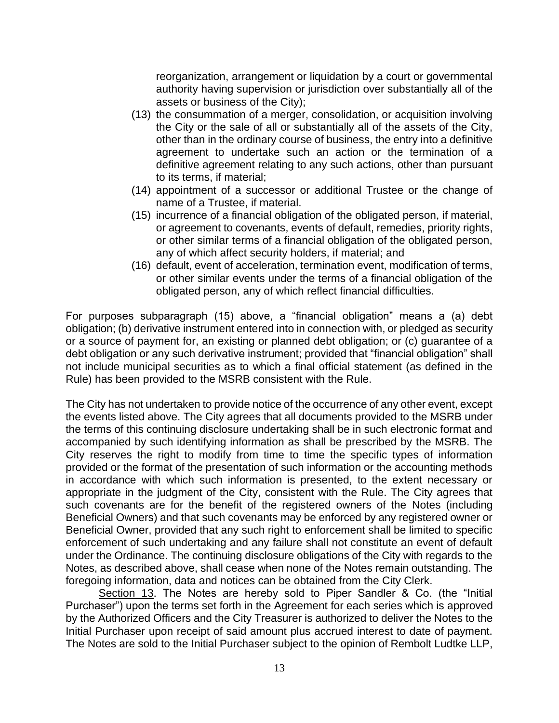reorganization, arrangement or liquidation by a court or governmental authority having supervision or jurisdiction over substantially all of the assets or business of the City);

- (13) the consummation of a merger, consolidation, or acquisition involving the City or the sale of all or substantially all of the assets of the City, other than in the ordinary course of business, the entry into a definitive agreement to undertake such an action or the termination of a definitive agreement relating to any such actions, other than pursuant to its terms, if material;
- (14) appointment of a successor or additional Trustee or the change of name of a Trustee, if material.
- (15) incurrence of a financial obligation of the obligated person, if material, or agreement to covenants, events of default, remedies, priority rights, or other similar terms of a financial obligation of the obligated person, any of which affect security holders, if material; and
- (16) default, event of acceleration, termination event, modification of terms, or other similar events under the terms of a financial obligation of the obligated person, any of which reflect financial difficulties.

For purposes subparagraph (15) above, a "financial obligation" means a (a) debt obligation; (b) derivative instrument entered into in connection with, or pledged as security or a source of payment for, an existing or planned debt obligation; or (c) guarantee of a debt obligation or any such derivative instrument; provided that "financial obligation" shall not include municipal securities as to which a final official statement (as defined in the Rule) has been provided to the MSRB consistent with the Rule.

The City has not undertaken to provide notice of the occurrence of any other event, except the events listed above. The City agrees that all documents provided to the MSRB under the terms of this continuing disclosure undertaking shall be in such electronic format and accompanied by such identifying information as shall be prescribed by the MSRB. The City reserves the right to modify from time to time the specific types of information provided or the format of the presentation of such information or the accounting methods in accordance with which such information is presented, to the extent necessary or appropriate in the judgment of the City, consistent with the Rule. The City agrees that such covenants are for the benefit of the registered owners of the Notes (including Beneficial Owners) and that such covenants may be enforced by any registered owner or Beneficial Owner, provided that any such right to enforcement shall be limited to specific enforcement of such undertaking and any failure shall not constitute an event of default under the Ordinance. The continuing disclosure obligations of the City with regards to the Notes, as described above, shall cease when none of the Notes remain outstanding. The foregoing information, data and notices can be obtained from the City Clerk.

Section 13. The Notes are hereby sold to Piper Sandler & Co. (the "Initial Purchaser") upon the terms set forth in the Agreement for each series which is approved by the Authorized Officers and the City Treasurer is authorized to deliver the Notes to the Initial Purchaser upon receipt of said amount plus accrued interest to date of payment. The Notes are sold to the Initial Purchaser subject to the opinion of Rembolt Ludtke LLP,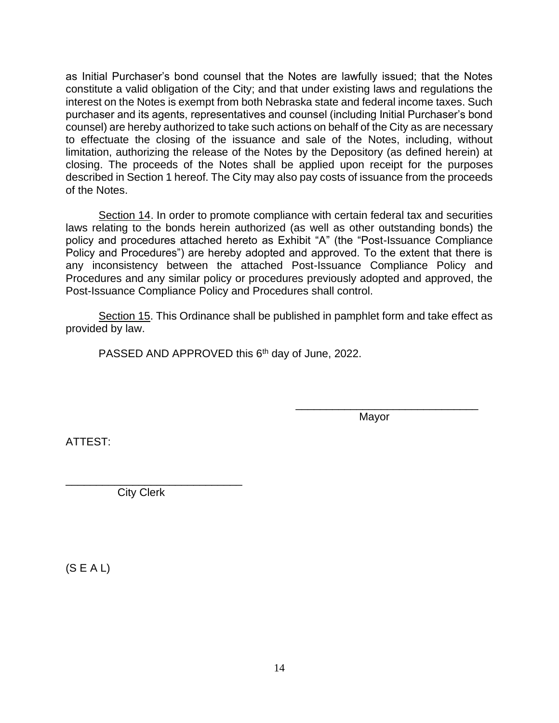as Initial Purchaser's bond counsel that the Notes are lawfully issued; that the Notes constitute a valid obligation of the City; and that under existing laws and regulations the interest on the Notes is exempt from both Nebraska state and federal income taxes. Such purchaser and its agents, representatives and counsel (including Initial Purchaser's bond counsel) are hereby authorized to take such actions on behalf of the City as are necessary to effectuate the closing of the issuance and sale of the Notes, including, without limitation, authorizing the release of the Notes by the Depository (as defined herein) at closing. The proceeds of the Notes shall be applied upon receipt for the purposes described in Section 1 hereof. The City may also pay costs of issuance from the proceeds of the Notes.

Section 14. In order to promote compliance with certain federal tax and securities laws relating to the bonds herein authorized (as well as other outstanding bonds) the policy and procedures attached hereto as Exhibit "A" (the "Post-Issuance Compliance Policy and Procedures") are hereby adopted and approved. To the extent that there is any inconsistency between the attached Post-Issuance Compliance Policy and Procedures and any similar policy or procedures previously adopted and approved, the Post-Issuance Compliance Policy and Procedures shall control.

Section 15. This Ordinance shall be published in pamphlet form and take effect as provided by law.

PASSED AND APPROVED this 6<sup>th</sup> day of June, 2022.

Mayor

\_\_\_\_\_\_\_\_\_\_\_\_\_\_\_\_\_\_\_\_\_\_\_\_\_\_\_\_\_\_

ATTEST:

\_\_\_\_\_\_\_\_\_\_\_\_\_\_\_\_\_\_\_\_\_\_\_\_\_\_\_\_\_ City Clerk

 $(S E A L)$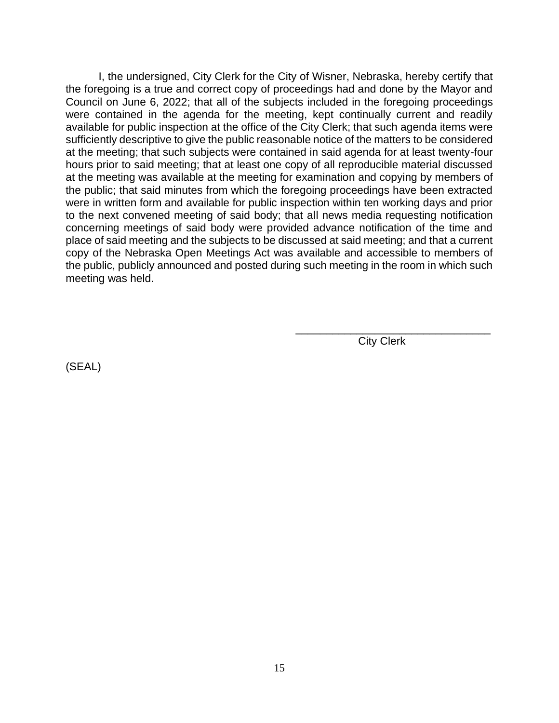I, the undersigned, City Clerk for the City of Wisner, Nebraska, hereby certify that the foregoing is a true and correct copy of proceedings had and done by the Mayor and Council on June 6, 2022; that all of the subjects included in the foregoing proceedings were contained in the agenda for the meeting, kept continually current and readily available for public inspection at the office of the City Clerk; that such agenda items were sufficiently descriptive to give the public reasonable notice of the matters to be considered at the meeting; that such subjects were contained in said agenda for at least twenty-four hours prior to said meeting; that at least one copy of all reproducible material discussed at the meeting was available at the meeting for examination and copying by members of the public; that said minutes from which the foregoing proceedings have been extracted were in written form and available for public inspection within ten working days and prior to the next convened meeting of said body; that all news media requesting notification concerning meetings of said body were provided advance notification of the time and place of said meeting and the subjects to be discussed at said meeting; and that a current copy of the Nebraska Open Meetings Act was available and accessible to members of the public, publicly announced and posted during such meeting in the room in which such meeting was held.

City Clerk

\_\_\_\_\_\_\_\_\_\_\_\_\_\_\_\_\_\_\_\_\_\_\_\_\_\_\_\_\_\_\_\_

(SEAL)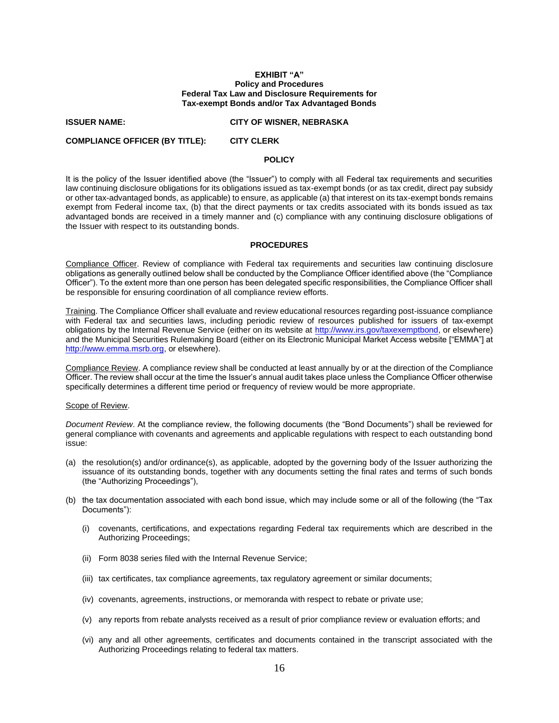### **EXHIBIT "A" Policy and Procedures Federal Tax Law and Disclosure Requirements for Tax-exempt Bonds and/or Tax Advantaged Bonds**

#### **ISSUER NAME: CITY OF WISNER, NEBRASKA**

**COMPLIANCE OFFICER (BY TITLE): CITY CLERK**

# **POLICY**

It is the policy of the Issuer identified above (the "Issuer") to comply with all Federal tax requirements and securities law continuing disclosure obligations for its obligations issued as tax-exempt bonds (or as tax credit, direct pay subsidy or other tax-advantaged bonds, as applicable) to ensure, as applicable (a) that interest on its tax-exempt bonds remains exempt from Federal income tax, (b) that the direct payments or tax credits associated with its bonds issued as tax advantaged bonds are received in a timely manner and (c) compliance with any continuing disclosure obligations of the Issuer with respect to its outstanding bonds.

## **PROCEDURES**

Compliance Officer. Review of compliance with Federal tax requirements and securities law continuing disclosure obligations as generally outlined below shall be conducted by the Compliance Officer identified above (the "Compliance Officer"). To the extent more than one person has been delegated specific responsibilities, the Compliance Officer shall be responsible for ensuring coordination of all compliance review efforts.

Training. The Compliance Officer shall evaluate and review educational resources regarding post-issuance compliance with Federal tax and securities laws, including periodic review of resources published for issuers of tax-exempt obligations by the Internal Revenue Service (either on its website at [http://www.irs.gov/taxexemptbond,](http://www.irs.gov/taxexemptbond) or elsewhere) and the Municipal Securities Rulemaking Board (either on its Electronic Municipal Market Access website ["EMMA"] at [http://www.emma.msrb.org,](http://www.emma.msrb.org/) or elsewhere).

Compliance Review. A compliance review shall be conducted at least annually by or at the direction of the Compliance Officer. The review shall occur at the time the Issuer's annual audit takes place unless the Compliance Officer otherwise specifically determines a different time period or frequency of review would be more appropriate.

### Scope of Review.

*Document Review*. At the compliance review, the following documents (the "Bond Documents") shall be reviewed for general compliance with covenants and agreements and applicable regulations with respect to each outstanding bond issue:

- (a) the resolution(s) and/or ordinance(s), as applicable, adopted by the governing body of the Issuer authorizing the issuance of its outstanding bonds, together with any documents setting the final rates and terms of such bonds (the "Authorizing Proceedings"),
- (b) the tax documentation associated with each bond issue, which may include some or all of the following (the "Tax Documents"):
	- (i) covenants, certifications, and expectations regarding Federal tax requirements which are described in the Authorizing Proceedings;
	- (ii) Form 8038 series filed with the Internal Revenue Service;
	- (iii) tax certificates, tax compliance agreements, tax regulatory agreement or similar documents;
	- (iv) covenants, agreements, instructions, or memoranda with respect to rebate or private use;
	- (v) any reports from rebate analysts received as a result of prior compliance review or evaluation efforts; and
	- (vi) any and all other agreements, certificates and documents contained in the transcript associated with the Authorizing Proceedings relating to federal tax matters.